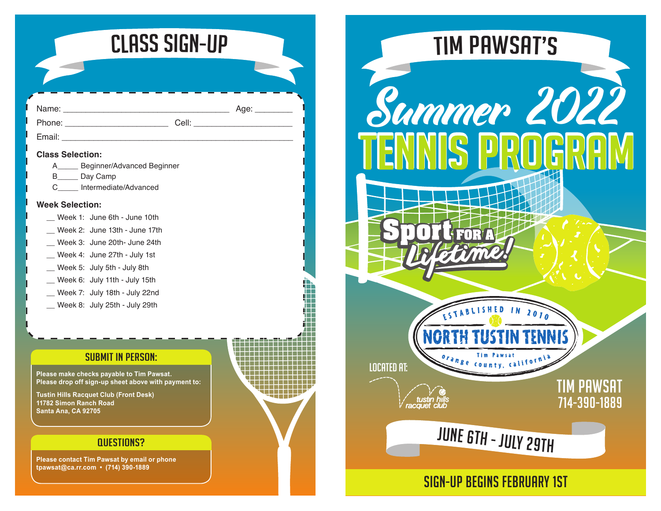

 $Age:$ 

| an<br>u |  |
|---------|--|
|         |  |

Phone: \_\_\_\_\_\_\_\_\_\_\_\_\_\_\_\_\_\_\_\_\_\_\_ Cell: \_\_\_\_\_\_\_\_\_\_\_\_\_\_\_\_\_\_\_\_\_\_

Email: **Email:**  $\frac{1}{2}$  and  $\frac{1}{2}$  and  $\frac{1}{2}$  and  $\frac{1}{2}$  and  $\frac{1}{2}$  and  $\frac{1}{2}$  and  $\frac{1}{2}$  and  $\frac{1}{2}$  and  $\frac{1}{2}$  and  $\frac{1}{2}$  and  $\frac{1}{2}$  and  $\frac{1}{2}$  and  $\frac{1}{2}$  and  $\frac{1}{2}$  and  $\frac{1}{2}$ 

#### **Class Selection:**

| A | Beginner/Advanced Beginner |
|---|----------------------------|
|---|----------------------------|

- B Day Camp
- C\_\_\_\_\_ Intermediate/Advanced

### **Week Selection:**

- \_\_ Week 1: June 6th June 10th
- \_\_ Week 2: June 13th June 17th
- \_\_ Week 3: June 20th- June 24th
- \_\_ Week 4: June 27th July 1st
- \_\_ Week 5: July 5th July 8th
- \_\_ Week 6: July 11th July 15th
- \_\_ Week 7: July 18th July 22nd
- \_\_ Week 8: July 25th July 29th

### SUBMIT IN PERSON:

**Please make checks payable to Tim Pawsat. Please drop off sign-up sheet above with payment to:**

**Tustin Hills Racquet Club (Front Desk) 11782 Simon Ranch Road Santa Ana, CA 92705**

## **DUESTIONS?**

**Please contact Tim Pawsat by email or phone tpawsat@ca.rr.com • (714) 390-1889**